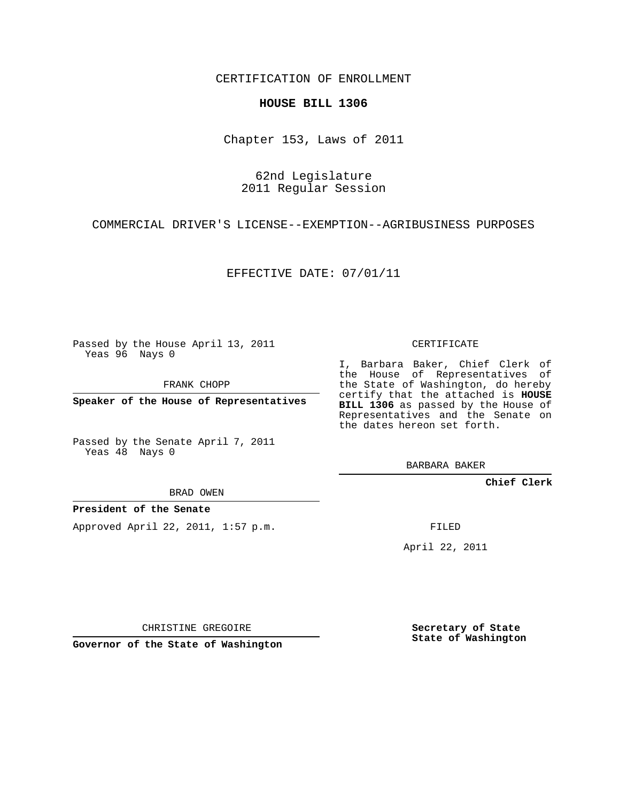CERTIFICATION OF ENROLLMENT

## **HOUSE BILL 1306**

Chapter 153, Laws of 2011

62nd Legislature 2011 Regular Session

COMMERCIAL DRIVER'S LICENSE--EXEMPTION--AGRIBUSINESS PURPOSES

EFFECTIVE DATE: 07/01/11

Passed by the House April 13, 2011 Yeas 96 Nays 0

FRANK CHOPP

**Speaker of the House of Representatives**

Passed by the Senate April 7, 2011 Yeas 48 Nays 0

BRAD OWEN

**President of the Senate**

Approved April 22, 2011, 1:57 p.m.

CERTIFICATE

I, Barbara Baker, Chief Clerk of the House of Representatives of the State of Washington, do hereby certify that the attached is **HOUSE BILL 1306** as passed by the House of Representatives and the Senate on the dates hereon set forth.

BARBARA BAKER

**Chief Clerk**

FILED

April 22, 2011

CHRISTINE GREGOIRE

**Governor of the State of Washington**

**Secretary of State State of Washington**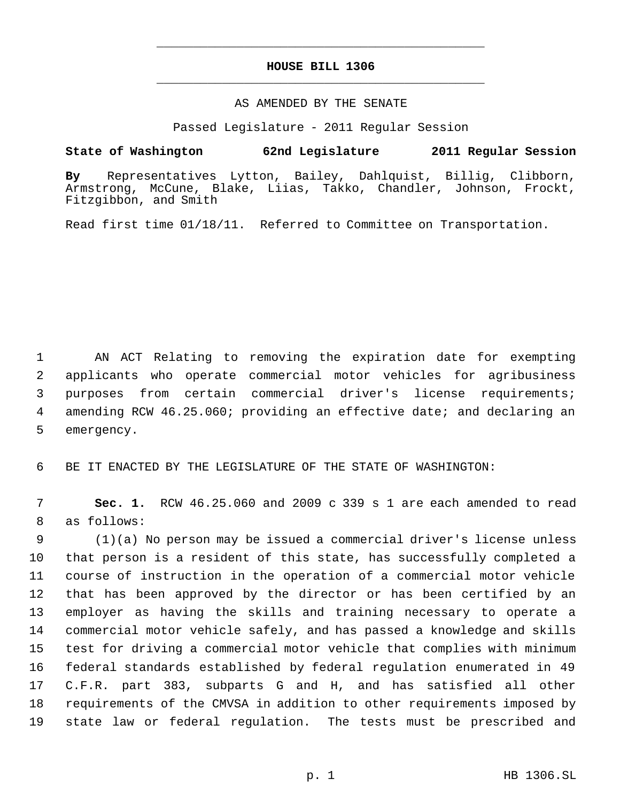## **HOUSE BILL 1306** \_\_\_\_\_\_\_\_\_\_\_\_\_\_\_\_\_\_\_\_\_\_\_\_\_\_\_\_\_\_\_\_\_\_\_\_\_\_\_\_\_\_\_\_\_

\_\_\_\_\_\_\_\_\_\_\_\_\_\_\_\_\_\_\_\_\_\_\_\_\_\_\_\_\_\_\_\_\_\_\_\_\_\_\_\_\_\_\_\_\_

## AS AMENDED BY THE SENATE

Passed Legislature - 2011 Regular Session

## **State of Washington 62nd Legislature 2011 Regular Session**

**By** Representatives Lytton, Bailey, Dahlquist, Billig, Clibborn, Armstrong, McCune, Blake, Liias, Takko, Chandler, Johnson, Frockt, Fitzgibbon, and Smith

Read first time 01/18/11. Referred to Committee on Transportation.

 AN ACT Relating to removing the expiration date for exempting applicants who operate commercial motor vehicles for agribusiness purposes from certain commercial driver's license requirements; amending RCW 46.25.060; providing an effective date; and declaring an emergency.

BE IT ENACTED BY THE LEGISLATURE OF THE STATE OF WASHINGTON:

 **Sec. 1.** RCW 46.25.060 and 2009 c 339 s 1 are each amended to read as follows:

 (1)(a) No person may be issued a commercial driver's license unless that person is a resident of this state, has successfully completed a course of instruction in the operation of a commercial motor vehicle that has been approved by the director or has been certified by an employer as having the skills and training necessary to operate a commercial motor vehicle safely, and has passed a knowledge and skills test for driving a commercial motor vehicle that complies with minimum federal standards established by federal regulation enumerated in 49 C.F.R. part 383, subparts G and H, and has satisfied all other requirements of the CMVSA in addition to other requirements imposed by state law or federal regulation. The tests must be prescribed and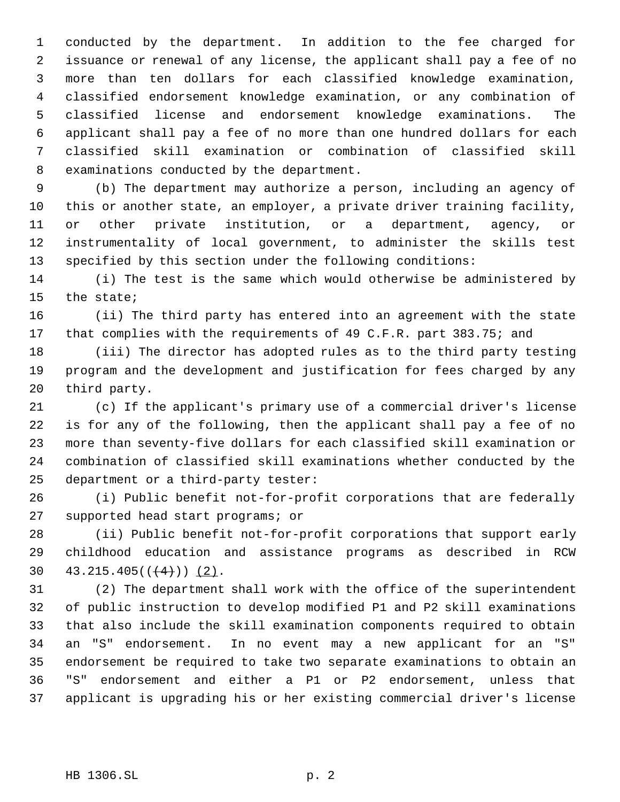conducted by the department. In addition to the fee charged for issuance or renewal of any license, the applicant shall pay a fee of no more than ten dollars for each classified knowledge examination, classified endorsement knowledge examination, or any combination of classified license and endorsement knowledge examinations. The applicant shall pay a fee of no more than one hundred dollars for each classified skill examination or combination of classified skill examinations conducted by the department.

 (b) The department may authorize a person, including an agency of this or another state, an employer, a private driver training facility, or other private institution, or a department, agency, or instrumentality of local government, to administer the skills test specified by this section under the following conditions:

 (i) The test is the same which would otherwise be administered by the state;

 (ii) The third party has entered into an agreement with the state 17 that complies with the requirements of 49 C.F.R. part 383.75; and

 (iii) The director has adopted rules as to the third party testing program and the development and justification for fees charged by any third party.

 (c) If the applicant's primary use of a commercial driver's license is for any of the following, then the applicant shall pay a fee of no more than seventy-five dollars for each classified skill examination or combination of classified skill examinations whether conducted by the department or a third-party tester:

 (i) Public benefit not-for-profit corporations that are federally supported head start programs; or

 (ii) Public benefit not-for-profit corporations that support early childhood education and assistance programs as described in RCW 30  $43.215.405((\frac{4}{1}))(2)$ .

 (2) The department shall work with the office of the superintendent of public instruction to develop modified P1 and P2 skill examinations that also include the skill examination components required to obtain an "S" endorsement. In no event may a new applicant for an "S" endorsement be required to take two separate examinations to obtain an "S" endorsement and either a P1 or P2 endorsement, unless that applicant is upgrading his or her existing commercial driver's license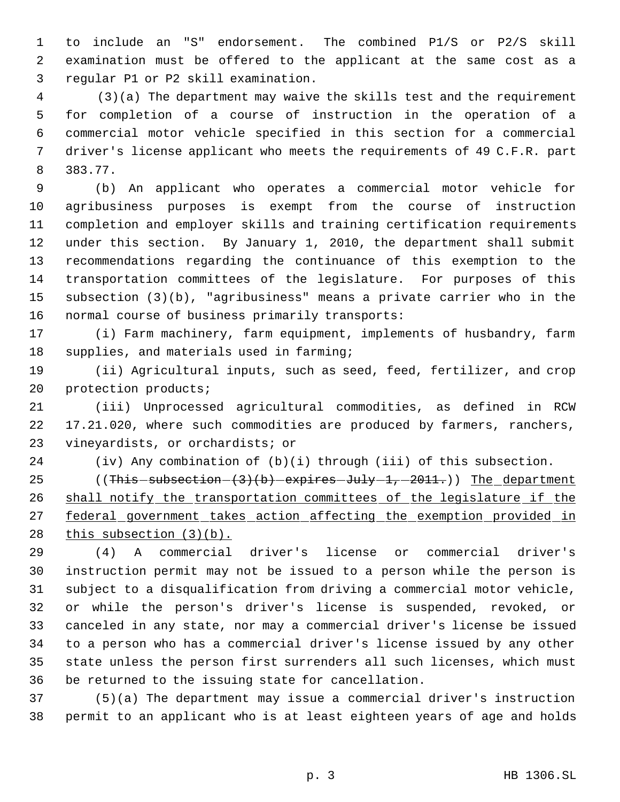to include an "S" endorsement. The combined P1/S or P2/S skill examination must be offered to the applicant at the same cost as a regular P1 or P2 skill examination.

 4 (3)(a) The department may waive the skills test and the requirement for completion of a course of instruction in the operation of a commercial motor vehicle specified in this section for a commercial driver's license applicant who meets the requirements of 49 C.F.R. part 383.77.

 (b) An applicant who operates a commercial motor vehicle for agribusiness purposes is exempt from the course of instruction completion and employer skills and training certification requirements under this section. By January 1, 2010, the department shall submit recommendations regarding the continuance of this exemption to the transportation committees of the legislature. For purposes of this subsection (3)(b), "agribusiness" means a private carrier who in the normal course of business primarily transports:

 (i) Farm machinery, farm equipment, implements of husbandry, farm 18 supplies, and materials used in farming;

 (ii) Agricultural inputs, such as seed, feed, fertilizer, and crop protection products;

 (iii) Unprocessed agricultural commodities, as defined in RCW 17.21.020, where such commodities are produced by farmers, ranchers, vineyardists, or orchardists; or

(iv) Any combination of (b)(i) through (iii) of this subsection.

25 ((This -subsection - (3)(b) expires -July -1, -2011.)) The department 26 shall notify the transportation committees of the legislature if the 27 federal government takes action affecting the exemption provided in 28 this subsection (3)(b).

 (4) A commercial driver's license or commercial driver's instruction permit may not be issued to a person while the person is subject to a disqualification from driving a commercial motor vehicle, or while the person's driver's license is suspended, revoked, or canceled in any state, nor may a commercial driver's license be issued to a person who has a commercial driver's license issued by any other state unless the person first surrenders all such licenses, which must be returned to the issuing state for cancellation.

 (5)(a) The department may issue a commercial driver's instruction permit to an applicant who is at least eighteen years of age and holds